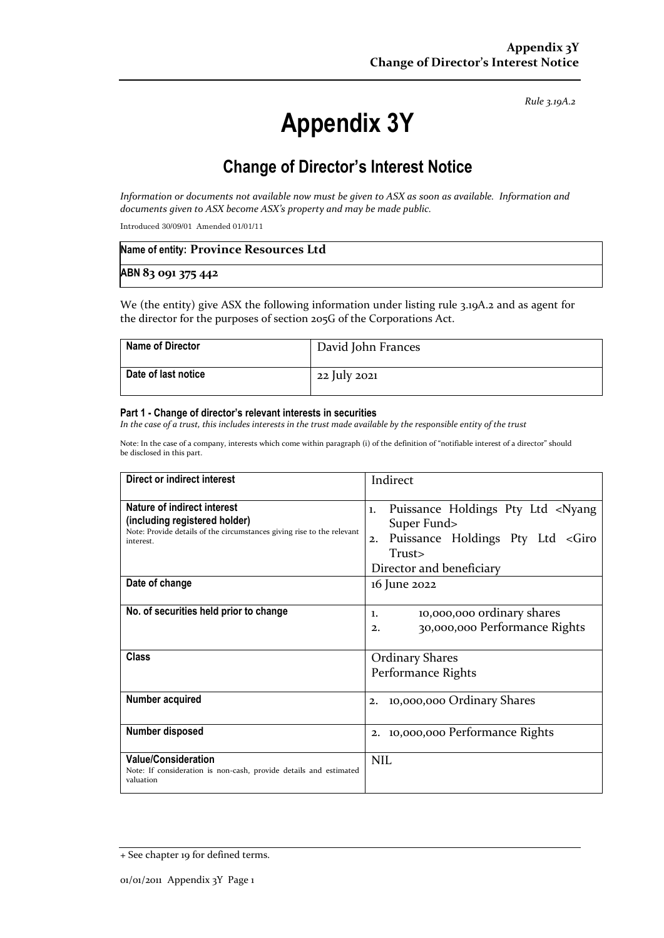*Rule 3.19A.2*

# **Appendix 3Y**

## **Change of Director's Interest Notice**

*Information or documents not available now must be given to ASX as soon as available. Information and documents given to ASX become ASX's property and may be made public.*

Introduced 30/09/01 Amended 01/01/11

| Name of entity: Province Resources Ltd |  |
|----------------------------------------|--|
| ABN 83 091 375 442                     |  |

We (the entity) give ASX the following information under listing rule 3.19A.2 and as agent for the director for the purposes of section 205G of the Corporations Act.

| Name of Director    | David John Frances |
|---------------------|--------------------|
| Date of last notice | 22 July 2021       |

#### **Part 1 - Change of director's relevant interests in securities**

*In the case of a trust, this includes interests in the trust made available by the responsible entity of the trust*

Note: In the case of a company, interests which come within paragraph (i) of the definition of "notifiable interest of a director" should be disclosed in this part.

| Direct or indirect interest                                                                                                                         | Indirect                                                                                                                                                              |  |
|-----------------------------------------------------------------------------------------------------------------------------------------------------|-----------------------------------------------------------------------------------------------------------------------------------------------------------------------|--|
| Nature of indirect interest<br>(including registered holder)<br>Note: Provide details of the circumstances giving rise to the relevant<br>interest. | Puissance Holdings Pty Ltd <nyang<br>1.<br/>Super Fund&gt;<br/>Puissance Holdings Pty Ltd <giro<br>2.<br/>Trust&gt;<br/>Director and beneficiary</giro<br></nyang<br> |  |
| Date of change                                                                                                                                      | 16 June 2022                                                                                                                                                          |  |
| No. of securities held prior to change                                                                                                              | 10,000,000 ordinary shares<br>1.<br>30,000,000 Performance Rights<br>2.                                                                                               |  |
| <b>Class</b>                                                                                                                                        | <b>Ordinary Shares</b><br>Performance Rights                                                                                                                          |  |
| Number acquired                                                                                                                                     | 10,000,000 Ordinary Shares<br>2.                                                                                                                                      |  |
| Number disposed                                                                                                                                     | 2. 10,000,000 Performance Rights                                                                                                                                      |  |
| <b>Value/Consideration</b><br>Note: If consideration is non-cash, provide details and estimated<br>valuation                                        | <b>NIL</b>                                                                                                                                                            |  |

<sup>+</sup> See chapter 19 for defined terms.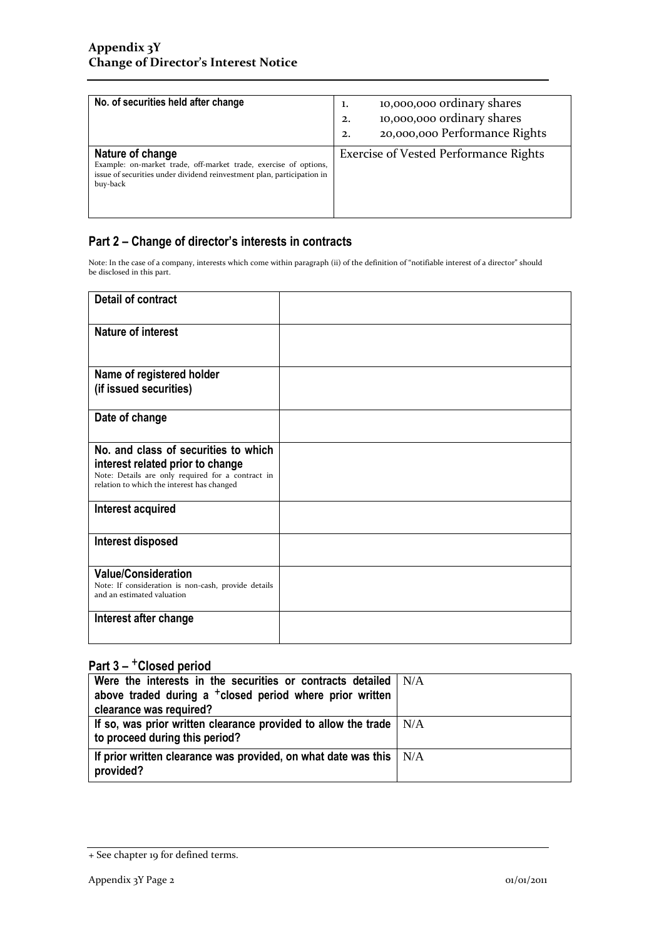| No. of securities held after change                                                                                                                                        | 10,000,000 ordinary shares<br>1.<br>10,000,000 ordinary shares<br>2.<br>20,000,000 Performance Rights<br>2. |
|----------------------------------------------------------------------------------------------------------------------------------------------------------------------------|-------------------------------------------------------------------------------------------------------------|
| Nature of change<br>Example: on-market trade, off-market trade, exercise of options,<br>issue of securities under dividend reinvestment plan, participation in<br>buy-back | <b>Exercise of Vested Performance Rights</b>                                                                |

### **Part 2 – Change of director's interests in contracts**

Note: In the case of a company, interests which come within paragraph (ii) of the definition of "notifiable interest of a director" should be disclosed in this part.

| <b>Detail of contract</b>                                                                                                                                                   |  |
|-----------------------------------------------------------------------------------------------------------------------------------------------------------------------------|--|
| <b>Nature of interest</b>                                                                                                                                                   |  |
| Name of registered holder<br>(if issued securities)                                                                                                                         |  |
| Date of change                                                                                                                                                              |  |
| No. and class of securities to which<br>interest related prior to change<br>Note: Details are only required for a contract in<br>relation to which the interest has changed |  |
| Interest acquired                                                                                                                                                           |  |
| Interest disposed                                                                                                                                                           |  |
| <b>Value/Consideration</b><br>Note: If consideration is non-cash, provide details<br>and an estimated valuation                                                             |  |
| Interest after change                                                                                                                                                       |  |

## **Part 3 –** +**Closed period**

| Were the interests in the securities or contracts detailed $\vert$ N/A<br>above traded during a <sup>+</sup> closed period where prior written<br>clearance was required? |  |
|---------------------------------------------------------------------------------------------------------------------------------------------------------------------------|--|
| If so, was prior written clearance provided to allow the trade $\vert$ N/A<br>to proceed during this period?                                                              |  |
| If prior written clearance was provided, on what date was this $\mid N/A$<br>provided?                                                                                    |  |

<sup>+</sup> See chapter 19 for defined terms.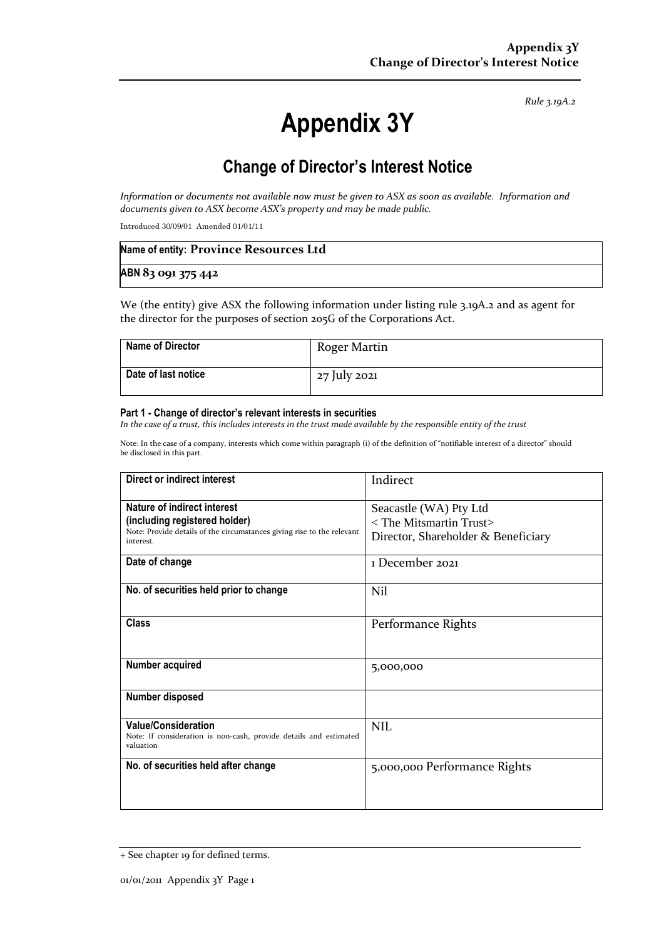*Rule 3.19A.2*

# **Appendix 3Y**

## **Change of Director's Interest Notice**

*Information or documents not available now must be given to ASX as soon as available. Information and documents given to ASX become ASX's property and may be made public.*

Introduced 30/09/01 Amended 01/01/11

| Name of entity: Province Resources Ltd |  |
|----------------------------------------|--|
| ABN 83 091 375 442                     |  |

We (the entity) give ASX the following information under listing rule 3.19A.2 and as agent for the director for the purposes of section 205G of the Corporations Act.

| Name of Director    | Roger Martin |
|---------------------|--------------|
| Date of last notice | 27 July 2021 |

#### **Part 1 - Change of director's relevant interests in securities**

*In the case of a trust, this includes interests in the trust made available by the responsible entity of the trust*

Note: In the case of a company, interests which come within paragraph (i) of the definition of "notifiable interest of a director" should be disclosed in this part.

| Direct or indirect interest                                                                                                                         | Indirect                                                                                                  |
|-----------------------------------------------------------------------------------------------------------------------------------------------------|-----------------------------------------------------------------------------------------------------------|
| Nature of indirect interest<br>(including registered holder)<br>Note: Provide details of the circumstances giving rise to the relevant<br>interest. | Seacastle (WA) Pty Ltd<br>$\langle$ The Mitsmartin Trust $\rangle$<br>Director, Shareholder & Beneficiary |
| Date of change                                                                                                                                      | 1 December 2021                                                                                           |
| No. of securities held prior to change                                                                                                              | Nil                                                                                                       |
| Class                                                                                                                                               | Performance Rights                                                                                        |
| Number acquired                                                                                                                                     | 5,000,000                                                                                                 |
| Number disposed                                                                                                                                     |                                                                                                           |
| <b>Value/Consideration</b><br>Note: If consideration is non-cash, provide details and estimated<br>valuation                                        | <b>NIL</b>                                                                                                |
| No. of securities held after change                                                                                                                 | 5,000,000 Performance Rights                                                                              |

<sup>+</sup> See chapter 19 for defined terms.